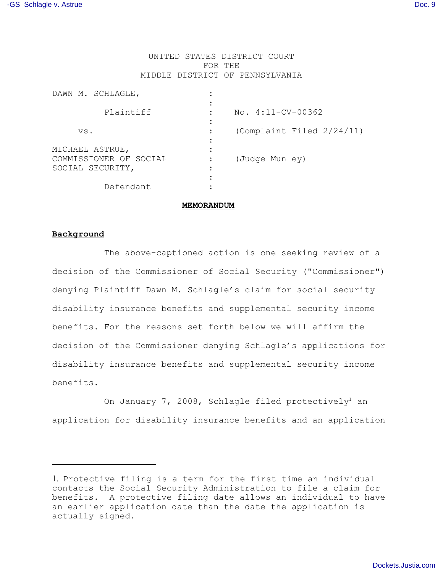# UNITED STATES DISTRICT COURT FOR THE MIDDLE DISTRICT OF PENNSYLVANIA

| DAWN M. SCHLAGLE,                          |                           |
|--------------------------------------------|---------------------------|
| Plaintiff                                  | $No. 4:11-CV-00362$       |
| VS.                                        | (Complaint Filed 2/24/11) |
| MICHAEL ASTRUE,                            |                           |
| COMMISSIONER OF SOCIAL<br>SOCIAL SECURITY, | (Judge Munley)            |
|                                            |                           |
| Defendant                                  |                           |

### **MEMORANDUM**

# **Background**

 The above-captioned action is one seeking review of a decision of the Commissioner of Social Security ("Commissioner") denying Plaintiff Dawn M. Schlagle's claim for social security disability insurance benefits and supplemental security income benefits. For the reasons set forth below we will affirm the decision of the Commissioner denying Schlagle's applications for disability insurance benefits and supplemental security income benefits.

On January 7, 2008, Schlagle filed protectively<sup>1</sup> an application for disability insurance benefits and an application

<sup>1.</sup> Protective filing is a term for the first time an individual contacts the Social Security Administration to file a claim for benefits. A protective filing date allows an individual to have an earlier application date than the date the application is actually signed.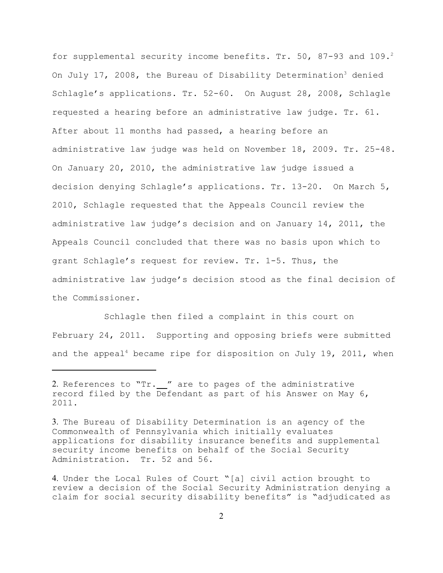for supplemental security income benefits. Tr. 50, 87-93 and 109.<sup>2</sup> On July 17, 2008, the Bureau of Disability Determination<sup>3</sup> denied Schlagle's applications. Tr. 52-60. On August 28, 2008, Schlagle requested a hearing before an administrative law judge. Tr. 61. After about 11 months had passed, a hearing before an administrative law judge was held on November 18, 2009. Tr. 25-48. On January 20, 2010, the administrative law judge issued a decision denying Schlagle's applications. Tr. 13-20. On March 5, 2010, Schlagle requested that the Appeals Council review the administrative law judge's decision and on January 14, 2011, the Appeals Council concluded that there was no basis upon which to grant Schlagle's request for review. Tr. 1-5. Thus, the administrative law judge's decision stood as the final decision of the Commissioner.

Schlagle then filed a complaint in this court on February 24, 2011. Supporting and opposing briefs were submitted and the appeal<sup>4</sup> became ripe for disposition on July 19, 2011, when

<sup>2.</sup> References to "Tr. " are to pages of the administrative record filed by the Defendant as part of his Answer on May 6, 2011.

<sup>3.</sup> The Bureau of Disability Determination is an agency of the Commonwealth of Pennsylvania which initially evaluates applications for disability insurance benefits and supplemental security income benefits on behalf of the Social Security Administration. Tr. 52 and 56.

<sup>4.</sup> Under the Local Rules of Court "[a] civil action brought to review a decision of the Social Security Administration denying a claim for social security disability benefits" is "adjudicated as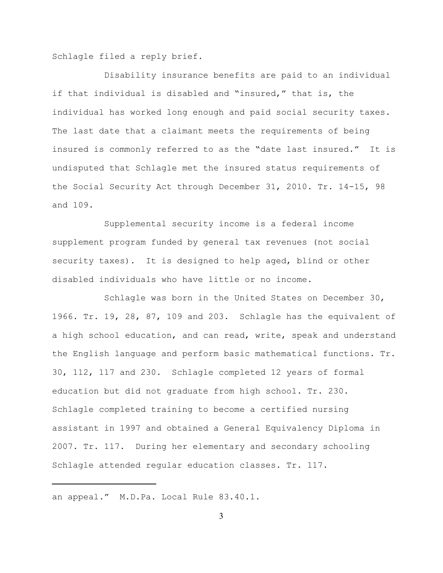Schlagle filed a reply brief.

Disability insurance benefits are paid to an individual if that individual is disabled and "insured," that is, the individual has worked long enough and paid social security taxes. The last date that a claimant meets the requirements of being insured is commonly referred to as the "date last insured." It is undisputed that Schlagle met the insured status requirements of the Social Security Act through December 31, 2010. Tr. 14-15, 98 and 109.

Supplemental security income is a federal income supplement program funded by general tax revenues (not social security taxes). It is designed to help aged, blind or other disabled individuals who have little or no income.

Schlagle was born in the United States on December 30, 1966. Tr. 19, 28, 87, 109 and 203. Schlagle has the equivalent of a high school education, and can read, write, speak and understand the English language and perform basic mathematical functions. Tr. 30, 112, 117 and 230. Schlagle completed 12 years of formal education but did not graduate from high school. Tr. 230. Schlagle completed training to become a certified nursing assistant in 1997 and obtained a General Equivalency Diploma in 2007. Tr. 117. During her elementary and secondary schooling Schlagle attended regular education classes. Tr. 117.

an appeal." M.D.Pa. Local Rule 83.40.1.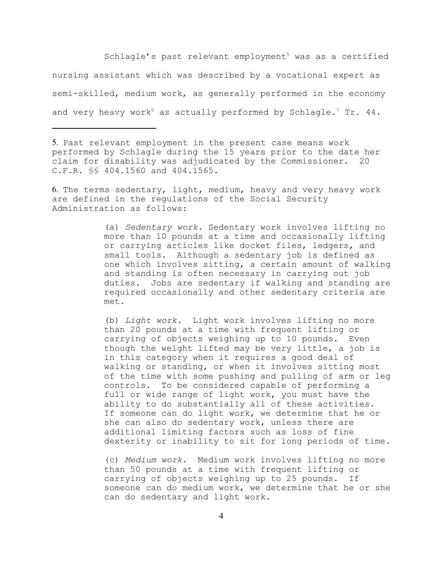Schlagle's past relevant employment<sup>5</sup> was as a certified nursing assistant which was described by a vocational expert as semi-skilled, medium work, as generally performed in the economy and very heavy work<sup>6</sup> as actually performed by Schlagle.<sup>7</sup> Tr. 44.

5. Past relevant employment in the present case means work performed by Schlagle during the 15 years prior to the date her claim for disability was adjudicated by the Commissioner. 20 C.F.R. §§ 404.1560 and 404.1565.

6. The terms sedentary, light, medium, heavy and very heavy work are defined in the regulations of the Social Security Administration as follows:

> (a) *Sedentary work*. Sedentary work involves lifting no more than 10 pounds at a time and occasionally lifting or carrying articles like docket files, ledgers, and small tools. Although a sedentary job is defined as one which involves sitting, a certain amount of walking and standing is often necessary in carrying out job duties. Jobs are sedentary if walking and standing are required occasionally and other sedentary criteria are met.

> (b) *Light work*. Light work involves lifting no more than 20 pounds at a time with frequent lifting or carrying of objects weighing up to 10 pounds. Even though the weight lifted may be very little, a job is in this category when it requires a good deal of walking or standing, or when it involves sitting most of the time with some pushing and pulling of arm or leg controls. To be considered capable of performing a full or wide range of light work, you must have the ability to do substantially all of these activities. If someone can do light work, we determine that he or she can also do sedentary work, unless there are additional limiting factors such as loss of fine dexterity or inability to sit for long periods of time.

> (c) *Medium work*. Medium work involves lifting no more than 50 pounds at a time with frequent lifting or carrying of objects weighing up to 25 pounds. If someone can do medium work, we determine that he or she can do sedentary and light work.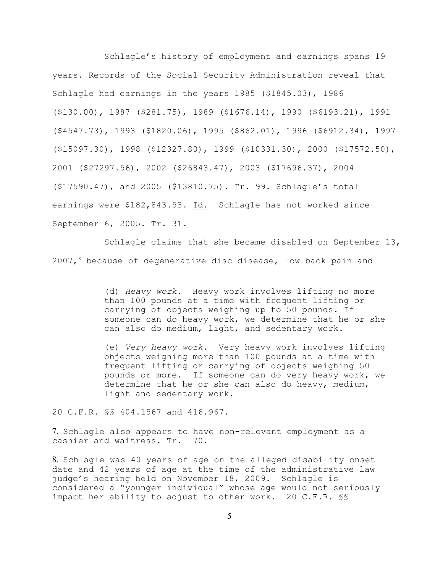Schlagle's history of employment and earnings spans 19 years. Records of the Social Security Administration reveal that Schlagle had earnings in the years 1985 (\$1845.03), 1986 (\$130.00), 1987 (\$281.75), 1989 (\$1676.14), 1990 (\$6193.21), 1991 (\$4547.73), 1993 (\$1820.06), 1995 (\$862.01), 1996 (\$6912.34), 1997 (\$15097.30), 1998 (\$12327.80), 1999 (\$10331.30), 2000 (\$17572.50), 2001 (\$27297.56), 2002 (\$26843.47), 2003 (\$17696.37), 2004 (\$17590.47), and 2005 (\$13810.75). Tr. 99. Schlagle's total earnings were \$182,843.53. Id. Schlagle has not worked since September 6, 2005. Tr. 31.

Schlagle claims that she became disabled on September 13, 2007, because of degenerative disc disease, low back pain and

(e) *Very heavy work*. Very heavy work involves lifting objects weighing more than 100 pounds at a time with frequent lifting or carrying of objects weighing 50 pounds or more. If someone can do very heavy work, we determine that he or she can also do heavy, medium, light and sedentary work.

20 C.F.R. §§ 404.1567 and 416.967.

7. Schlagle also appears to have non-relevant employment as a cashier and waitress. Tr. 70.

<sup>(</sup>d) *Heavy work*. Heavy work involves lifting no more than 100 pounds at a time with frequent lifting or carrying of objects weighing up to 50 pounds. If someone can do heavy work, we determine that he or she can also do medium, light, and sedentary work.

<sup>8.</sup> Schlagle was 40 years of age on the alleged disability onset date and 42 years of age at the time of the administrative law judge's hearing held on November 18, 2009. Schlagle is considered a "younger individual" whose age would not seriously impact her ability to adjust to other work. 20 C.F.R. §§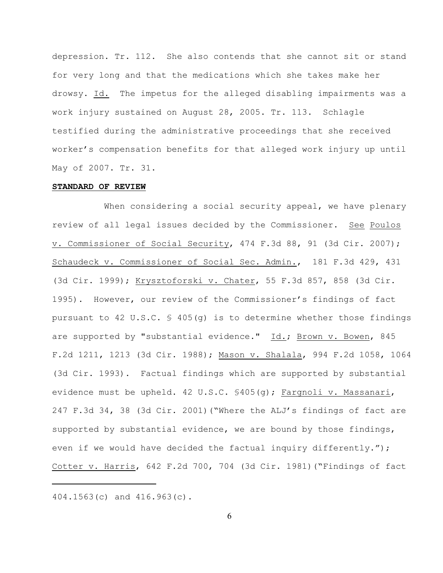depression. Tr. 112. She also contends that she cannot sit or stand for very long and that the medications which she takes make her drowsy. Id. The impetus for the alleged disabling impairments was a work injury sustained on August 28, 2005. Tr. 113. Schlagle testified during the administrative proceedings that she received worker's compensation benefits for that alleged work injury up until May of 2007. Tr. 31.

## **STANDARD OF REVIEW**

When considering a social security appeal, we have plenary review of all legal issues decided by the Commissioner. See Poulos v. Commissioner of Social Security, 474 F.3d 88, 91 (3d Cir. 2007); Schaudeck v. Commissioner of Social Sec. Admin., 181 F.3d 429, 431 (3d Cir. 1999); Krysztoforski v. Chater, 55 F.3d 857, 858 (3d Cir. 1995). However, our review of the Commissioner's findings of fact pursuant to 42 U.S.C.  $\frac{1}{5}$  405(q) is to determine whether those findings are supported by "substantial evidence." Id.; Brown v. Bowen, 845 F.2d 1211, 1213 (3d Cir. 1988); Mason v. Shalala, 994 F.2d 1058, 1064 (3d Cir. 1993). Factual findings which are supported by substantial evidence must be upheld. 42 U.S.C. §405(g); Fargnoli v. Massanari, 247 F.3d 34, 38 (3d Cir. 2001)("Where the ALJ's findings of fact are supported by substantial evidence, we are bound by those findings, even if we would have decided the factual inquiry differently."); Cotter v. Harris, 642 F.2d 700, 704 (3d Cir. 1981)("Findings of fact

404.1563(c) and 416.963(c).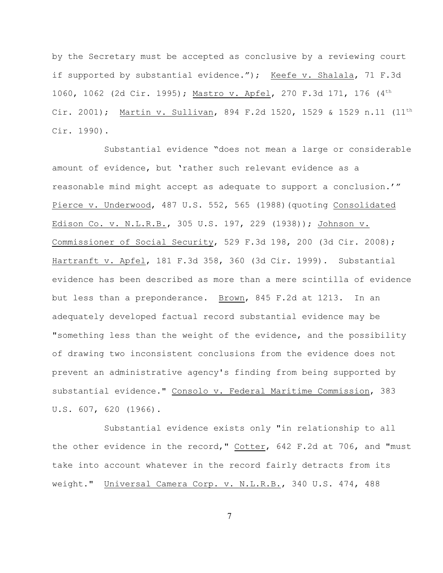by the Secretary must be accepted as conclusive by a reviewing court if supported by substantial evidence."); Keefe v. Shalala, 71 F.3d 1060, 1062 (2d Cir. 1995); Mastro v. Apfel, 270 F.3d 171, 176 (4th Cir. 2001); Martin v. Sullivan, 894 F.2d 1520, 1529 & 1529 n.11 (11th Cir. 1990).

Substantial evidence "does not mean a large or considerable amount of evidence, but 'rather such relevant evidence as a reasonable mind might accept as adequate to support a conclusion.'" Pierce v. Underwood, 487 U.S. 552, 565 (1988)(quoting Consolidated Edison Co. v. N.L.R.B., 305 U.S. 197, 229 (1938)); Johnson v. Commissioner of Social Security, 529 F.3d 198, 200 (3d Cir. 2008); Hartranft v. Apfel, 181 F.3d 358, 360 (3d Cir. 1999). Substantial evidence has been described as more than a mere scintilla of evidence but less than a preponderance. Brown, 845 F.2d at 1213. In an adequately developed factual record substantial evidence may be "something less than the weight of the evidence, and the possibility of drawing two inconsistent conclusions from the evidence does not prevent an administrative agency's finding from being supported by substantial evidence." Consolo v. Federal Maritime Commission, 383 U.S. 607, 620 (1966).

Substantial evidence exists only "in relationship to all the other evidence in the record," Cotter, 642 F.2d at 706, and "must take into account whatever in the record fairly detracts from its weight." Universal Camera Corp. v. N.L.R.B., 340 U.S. 474, 488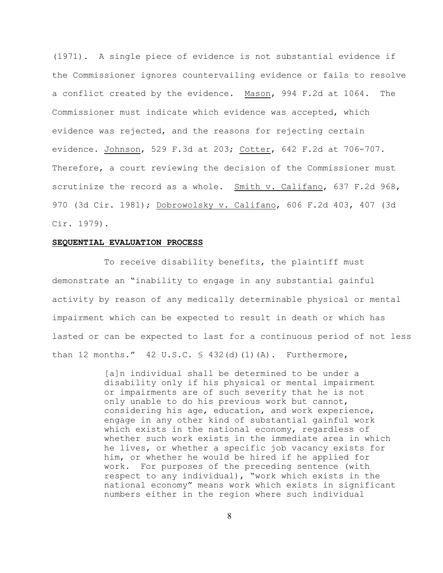(1971). A single piece of evidence is not substantial evidence if the Commissioner ignores countervailing evidence or fails to resolve a conflict created by the evidence. Mason, 994 F.2d at 1064. The Commissioner must indicate which evidence was accepted, which evidence was rejected, and the reasons for rejecting certain evidence. Johnson, 529 F.3d at 203; Cotter, 642 F.2d at 706-707. Therefore, a court reviewing the decision of the Commissioner must scrutinize the record as a whole. Smith v. Califano, 637 F.2d 968, 970 (3d Cir. 1981); Dobrowolsky v. Califano, 606 F.2d 403, 407 (3d Cir. 1979).

#### **SEQUENTIAL EVALUATION PROCESS**

To receive disability benefits, the plaintiff must demonstrate an "inability to engage in any substantial gainful activity by reason of any medically determinable physical or mental impairment which can be expected to result in death or which has lasted or can be expected to last for a continuous period of not less than 12 months."  $42 \text{ U.S.C. } $ 432 \text{ (d) (1) (A)}.$  Furthermore,

> [a]n individual shall be determined to be under a disability only if his physical or mental impairment or impairments are of such severity that he is not only unable to do his previous work but cannot, considering his age, education, and work experience, engage in any other kind of substantial gainful work which exists in the national economy, regardless of whether such work exists in the immediate area in which he lives, or whether a specific job vacancy exists for him, or whether he would be hired if he applied for work. For purposes of the preceding sentence (with respect to any individual), "work which exists in the national economy" means work which exists in significant numbers either in the region where such individual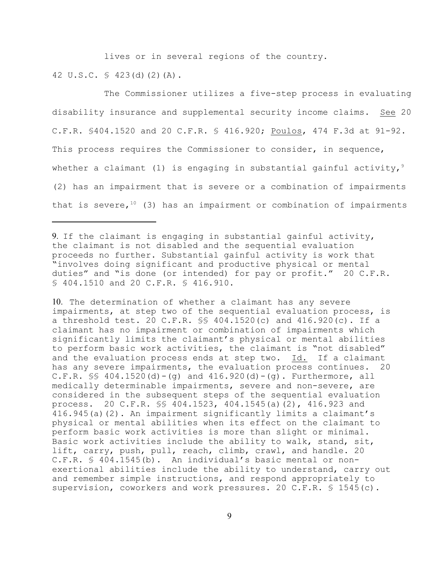lives or in several regions of the country.

42 U.S.C. § 423(d)(2)(A).

The Commissioner utilizes a five-step process in evaluating disability insurance and supplemental security income claims. See 20 C.F.R. §404.1520 and 20 C.F.R. § 416.920; Poulos, 474 F.3d at 91-92. This process requires the Commissioner to consider, in sequence, whether a claimant (1) is engaging in substantial gainful activity,  $9$ (2) has an impairment that is severe or a combination of impairments that is severe,  $10$  (3) has an impairment or combination of impairments

9. If the claimant is engaging in substantial gainful activity, the claimant is not disabled and the sequential evaluation proceeds no further. Substantial gainful activity is work that "involves doing significant and productive physical or mental duties" and "is done (or intended) for pay or profit." 20 C.F.R. § 404.1510 and 20 C.F.R. § 416.910.

10. The determination of whether a claimant has any severe impairments, at step two of the sequential evaluation process, is a threshold test. 20 C.F.R. §§ 404.1520(c) and 416.920(c). If a claimant has no impairment or combination of impairments which significantly limits the claimant's physical or mental abilities to perform basic work activities, the claimant is "not disabled" and the evaluation process ends at step two. Id. If a claimant has any severe impairments, the evaluation process continues. 20 C.F.R.  $\S$  404.1520(d) – (g) and 416.920(d) – (g). Furthermore, all medically determinable impairments, severe and non-severe, are considered in the subsequent steps of the sequential evaluation process. 20 C.F.R. §§ 404.1523, 404.1545(a)(2), 416.923 and 416.945(a)(2). An impairment significantly limits a claimant's physical or mental abilities when its effect on the claimant to perform basic work activities is more than slight or minimal. Basic work activities include the ability to walk, stand, sit, lift, carry, push, pull, reach, climb, crawl, and handle. 20 C.F.R. § 404.1545(b). An individual's basic mental or nonexertional abilities include the ability to understand, carry out and remember simple instructions, and respond appropriately to supervision, coworkers and work pressures. 20 C.F.R. § 1545(c).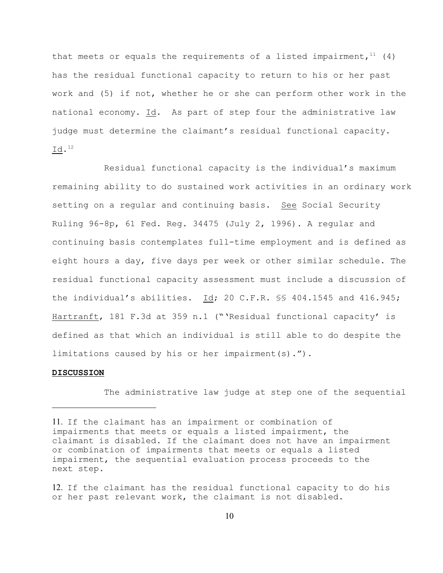that meets or equals the requirements of a listed impairment,  $11(4)$ has the residual functional capacity to return to his or her past work and (5) if not, whether he or she can perform other work in the national economy. Id. As part of step four the administrative law judge must determine the claimant's residual functional capacity.  $\mathtt{Id.}^{12}$ 

Residual functional capacity is the individual's maximum remaining ability to do sustained work activities in an ordinary work setting on a regular and continuing basis. See Social Security Ruling 96-8p, 61 Fed. Reg. 34475 (July 2, 1996). A regular and continuing basis contemplates full-time employment and is defined as eight hours a day, five days per week or other similar schedule. The residual functional capacity assessment must include a discussion of the individual's abilities.  $Id$ ; 20 C.F.R.  $\frac{10}{3}$  404.1545 and 416.945; Hartranft, 181 F.3d at 359 n.1 ("'Residual functional capacity' is defined as that which an individual is still able to do despite the limitations caused by his or her impairment(s).").

### **DISCUSSION**

The administrative law judge at step one of the sequential

<sup>11.</sup> If the claimant has an impairment or combination of impairments that meets or equals a listed impairment, the claimant is disabled. If the claimant does not have an impairment or combination of impairments that meets or equals a listed impairment, the sequential evaluation process proceeds to the next step.

<sup>12.</sup> If the claimant has the residual functional capacity to do his or her past relevant work, the claimant is not disabled.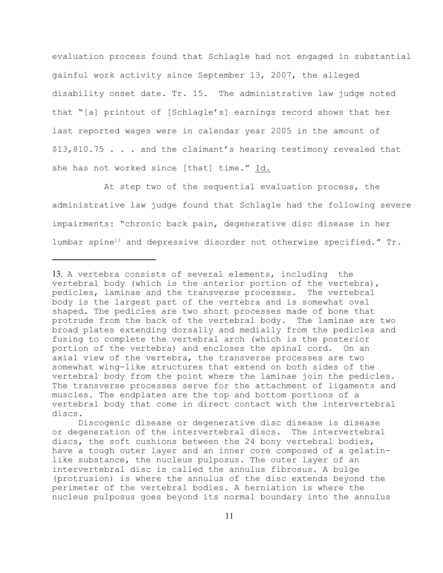evaluation process found that Schlagle had not engaged in substantial gainful work activity since September 13, 2007, the alleged disability onset date. Tr. 15. The administrative law judge noted that "[a] printout of [Schlagle's] earnings record shows that her last reported wages were in calendar year 2005 in the amount of \$13,810.75 . . . and the claimant's hearing testimony revealed that she has not worked since [that] time." Id.

At step two of the sequential evaluation process, the administrative law judge found that Schlagle had the following severe impairments: "chronic back pain, degenerative disc disease in her lumbar spine<sup>13</sup> and depressive disorder not otherwise specified."  $Tr$ .

<sup>13.</sup> A vertebra consists of several elements, including the vertebral body (which is the anterior portion of the vertebra), pedicles, laminae and the transverse processes. The vertebral body is the largest part of the vertebra and is somewhat oval shaped. The pedicles are two short processes made of bone that protrude from the back of the vertebral body. The laminae are two broad plates extending dorsally and medially from the pedicles and fusing to complete the vertebral arch (which is the posterior portion of the vertebra) and encloses the spinal cord. On an axial view of the vertebra, the transverse processes are two somewhat wing-like structures that extend on both sides of the vertebral body from the point where the laminae join the pedicles. The transverse processes serve for the attachment of ligaments and muscles. The endplates are the top and bottom portions of a vertebral body that come in direct contact with the intervertebral discs.

Discogenic disease or degenerative disc disease is disease or degeneration of the intervertebral discs. The intervertebral discs, the soft cushions between the 24 bony vertebral bodies, have a tough outer layer and an inner core composed of a gelatinlike substance, the nucleus pulposus. The outer layer of an intervertebral disc is called the annulus fibrosus. A bulge (protrusion) is where the annulus of the disc extends beyond the perimeter of the vertebral bodies. A herniation is where the nucleus pulposus goes beyond its normal boundary into the annulus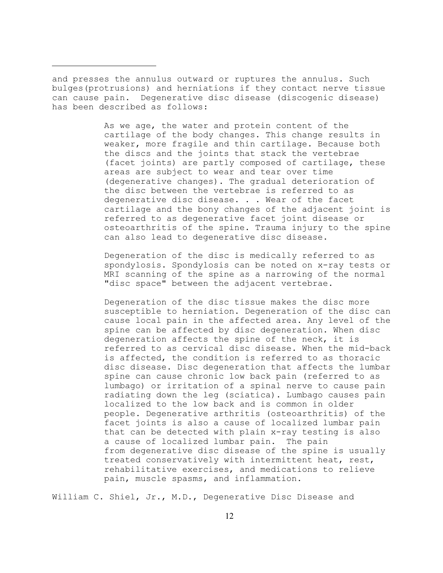and presses the annulus outward or ruptures the annulus. Such bulges(protrusions) and herniations if they contact nerve tissue can cause pain. Degenerative disc disease (discogenic disease) has been described as follows:

> As we age, the water and protein content of the cartilage of the body changes. This change results in weaker, more fragile and thin cartilage. Because both the discs and the joints that stack the vertebrae (facet joints) are partly composed of cartilage, these areas are subject to wear and tear over time (degenerative changes). The gradual deterioration of the disc between the vertebrae is referred to as degenerative disc disease. . . Wear of the facet cartilage and the bony changes of the adjacent joint is referred to as degenerative facet joint disease or osteoarthritis of the spine. Trauma injury to the spine can also lead to degenerative disc disease.

> Degeneration of the disc is medically referred to as spondylosis. Spondylosis can be noted on x-ray tests or MRI scanning of the spine as a narrowing of the normal "disc space" between the adjacent vertebrae.

> Degeneration of the disc tissue makes the disc more susceptible to herniation. Degeneration of the disc can cause local pain in the affected area. Any level of the spine can be affected by disc degeneration. When disc degeneration affects the spine of the neck, it is referred to as cervical disc disease. When the mid-back is affected, the condition is referred to as thoracic disc disease. Disc degeneration that affects the lumbar spine can cause chronic low back pain (referred to as lumbago) or irritation of a spinal nerve to cause pain radiating down the leg (sciatica). Lumbago causes pain localized to the low back and is common in older people. Degenerative arthritis (osteoarthritis) of the facet joints is also a cause of localized lumbar pain that can be detected with plain x-ray testing is also a cause of localized lumbar pain. The pain from degenerative disc disease of the spine is usually treated conservatively with intermittent heat, rest, rehabilitative exercises, and medications to relieve pain, muscle spasms, and inflammation.

William C. Shiel, Jr., M.D., Degenerative Disc Disease and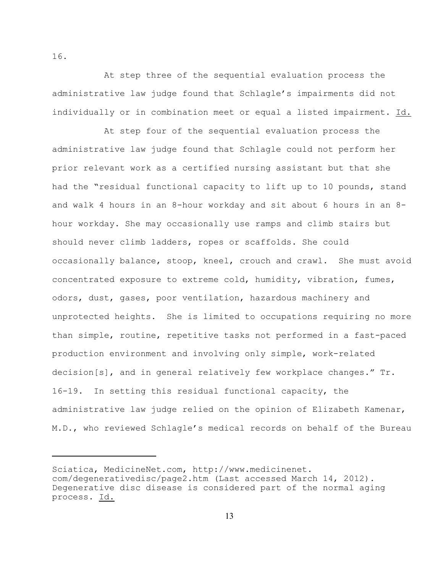At step three of the sequential evaluation process the administrative law judge found that Schlagle's impairments did not individually or in combination meet or equal a listed impairment. Id.

At step four of the sequential evaluation process the administrative law judge found that Schlagle could not perform her prior relevant work as a certified nursing assistant but that she had the "residual functional capacity to lift up to 10 pounds, stand and walk 4 hours in an 8-hour workday and sit about 6 hours in an 8 hour workday. She may occasionally use ramps and climb stairs but should never climb ladders, ropes or scaffolds. She could occasionally balance, stoop, kneel, crouch and crawl. She must avoid concentrated exposure to extreme cold, humidity, vibration, fumes, odors, dust, gases, poor ventilation, hazardous machinery and unprotected heights. She is limited to occupations requiring no more than simple, routine, repetitive tasks not performed in a fast-paced production environment and involving only simple, work-related decision[s], and in general relatively few workplace changes." Tr. 16-19. In setting this residual functional capacity, the administrative law judge relied on the opinion of Elizabeth Kamenar, M.D., who reviewed Schlagle's medical records on behalf of the Bureau

16.

Sciatica, MedicineNet.com, http://www.medicinenet. com/degenerativedisc/page2.htm (Last accessed March 14, 2012). Degenerative disc disease is considered part of the normal aging process. Id.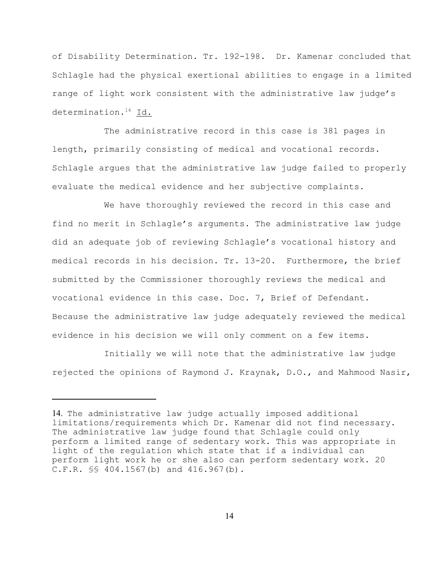of Disability Determination. Tr. 192-198. Dr. Kamenar concluded that Schlagle had the physical exertional abilities to engage in a limited range of light work consistent with the administrative law judge's determination. $14$  Id.

The administrative record in this case is 381 pages in length, primarily consisting of medical and vocational records. Schlagle argues that the administrative law judge failed to properly evaluate the medical evidence and her subjective complaints.

We have thoroughly reviewed the record in this case and find no merit in Schlagle's arguments. The administrative law judge did an adequate job of reviewing Schlagle's vocational history and medical records in his decision. Tr. 13-20. Furthermore, the brief submitted by the Commissioner thoroughly reviews the medical and vocational evidence in this case. Doc. 7, Brief of Defendant. Because the administrative law judge adequately reviewed the medical evidence in his decision we will only comment on a few items.

Initially we will note that the administrative law judge rejected the opinions of Raymond J. Kraynak, D.O., and Mahmood Nasir,

<sup>14.</sup> The administrative law judge actually imposed additional limitations/requirements which Dr. Kamenar did not find necessary. The administrative law judge found that Schlagle could only perform a limited range of sedentary work. This was appropriate in light of the regulation which state that if a individual can perform light work he or she also can perform sedentary work. 20 C.F.R. §§ 404.1567(b) and 416.967(b).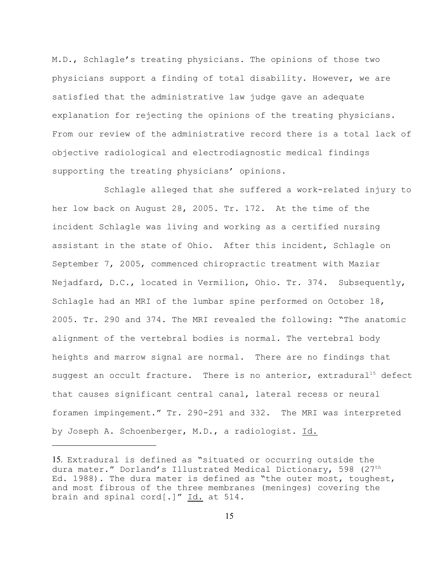M.D., Schlagle's treating physicians. The opinions of those two physicians support a finding of total disability. However, we are satisfied that the administrative law judge gave an adequate explanation for rejecting the opinions of the treating physicians. From our review of the administrative record there is a total lack of objective radiological and electrodiagnostic medical findings supporting the treating physicians' opinions.

Schlagle alleged that she suffered a work-related injury to her low back on August 28, 2005. Tr. 172. At the time of the incident Schlagle was living and working as a certified nursing assistant in the state of Ohio. After this incident, Schlagle on September 7, 2005, commenced chiropractic treatment with Maziar Nejadfard, D.C., located in Vermilion, Ohio. Tr. 374. Subsequently, Schlagle had an MRI of the lumbar spine performed on October 18, 2005. Tr. 290 and 374. The MRI revealed the following: "The anatomic alignment of the vertebral bodies is normal. The vertebral body heights and marrow signal are normal. There are no findings that suggest an occult fracture. There is no anterior, extradural<sup>15</sup> defect that causes significant central canal, lateral recess or neural foramen impingement." Tr. 290-291 and 332. The MRI was interpreted by Joseph A. Schoenberger, M.D., a radiologist. Id.

<sup>15.</sup> Extradural is defined as "situated or occurring outside the dura mater." Dorland's Illustrated Medical Dictionary, 598 (27<sup>th</sup> Ed. 1988). The dura mater is defined as "the outer most, toughest, and most fibrous of the three membranes (meninges) covering the brain and spinal cord[.]" Id. at 514.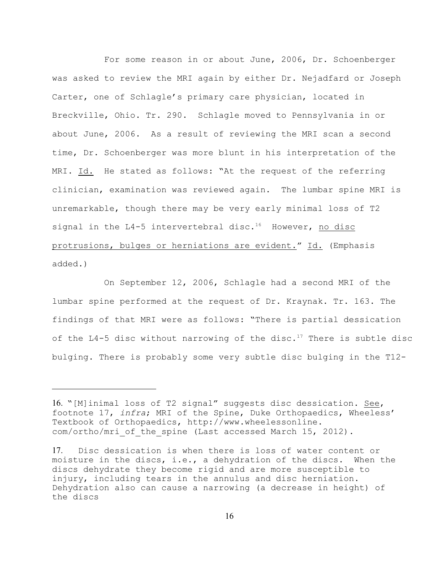For some reason in or about June, 2006, Dr. Schoenberger was asked to review the MRI again by either Dr. Nejadfard or Joseph Carter, one of Schlagle's primary care physician, located in Breckville, Ohio. Tr. 290. Schlagle moved to Pennsylvania in or about June, 2006. As a result of reviewing the MRI scan a second time, Dr. Schoenberger was more blunt in his interpretation of the MRI. Id. He stated as follows: "At the request of the referring clinician, examination was reviewed again. The lumbar spine MRI is unremarkable, though there may be very early minimal loss of T2 signal in the L4-5 intervertebral disc.<sup>16</sup> However, no disc protrusions, bulges or herniations are evident." Id. (Emphasis added.)

On September 12, 2006, Schlagle had a second MRI of the lumbar spine performed at the request of Dr. Kraynak. Tr. 163. The findings of that MRI were as follows: "There is partial dessication of the L4-5 disc without narrowing of the disc.<sup>17</sup> There is subtle disc bulging. There is probably some very subtle disc bulging in the T12-

<sup>16.</sup> "[M]inimal loss of T2 signal" suggests disc dessication. See, footnote 17, *infra*; MRI of the Spine, Duke Orthopaedics, Wheeless' Textbook of Orthopaedics, http://www.wheelessonline. com/ortho/mri of the spine (Last accessed March 15, 2012).

<sup>17.</sup> Disc dessication is when there is loss of water content or moisture in the discs, i.e., a dehydration of the discs. When the discs dehydrate they become rigid and are more susceptible to injury, including tears in the annulus and disc herniation. Dehydration also can cause a narrowing (a decrease in height) of the discs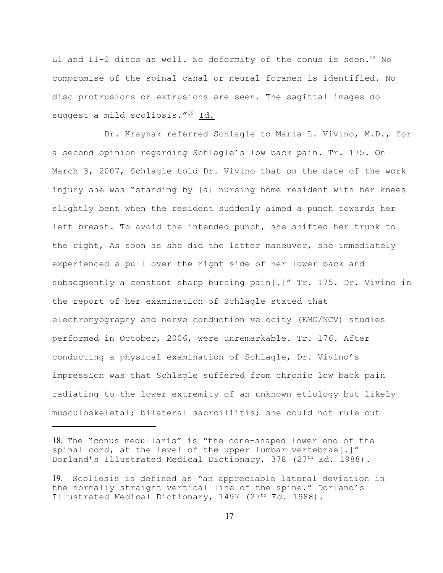L1 and L1-2 discs as well. No deformity of the conus is seen.<sup>18</sup> No compromise of the spinal canal or neural foramen is identified. No disc protrusions or extrusions are seen. The sagittal images do suggest a mild scoliosis. $1^{19}$  Id.

Dr. Kraynak referred Schlagle to Maria L. Vivino, M.D., for a second opinion regarding Schlagle's low back pain. Tr. 175. On March 3, 2007, Schlagle told Dr. Vivino that on the date of the work injury she was "standing by [a] nursing home resident with her knees slightly bent when the resident suddenly aimed a punch towards her left breast. To avoid the intended punch, she shifted her trunk to the right, As soon as she did the latter maneuver, she immediately experienced a pull over the right side of her lower back and subsequently a constant sharp burning pain[.]" Tr. 175. Dr. Vivino in the report of her examination of Schlagle stated that electromyography and nerve conduction velocity (EMG/NCV) studies performed in October, 2006, were unremarkable. Tr. 176. After conducting a physical examination of Schlagle, Dr. Vivino's impression was that Schlagle suffered from chronic low back pain radiating to the lower extremity of an unknown etiology but likely musculoskeletal; bilateral sacroiliitis; she could not rule out

<sup>18.</sup> The "conus medullaris" is "the cone-shaped lower end of the spinal cord, at the level of the upper lumbar vertebrae[.]" Dorland's Illustrated Medical Dictionary, 378 (27<sup>th</sup> Ed. 1988).

<sup>19.</sup> Scoliosis is defined as "an appreciable lateral deviation in the normally straight vertical line of the spine." Dorland's Illustrated Medical Dictionary, 1497 (27<sup>th</sup> Ed. 1988).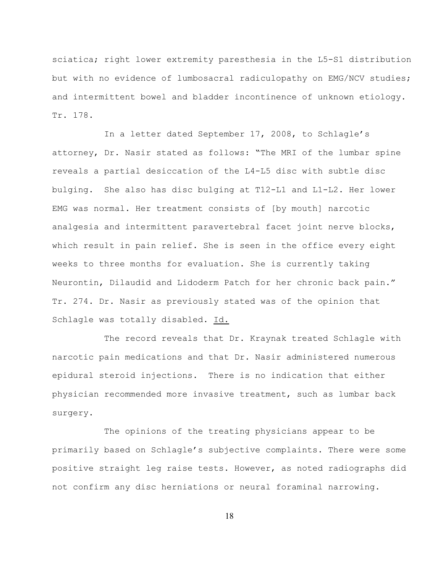sciatica; right lower extremity paresthesia in the L5-S1 distribution but with no evidence of lumbosacral radiculopathy on EMG/NCV studies; and intermittent bowel and bladder incontinence of unknown etiology. Tr. 178.

In a letter dated September 17, 2008, to Schlagle's attorney, Dr. Nasir stated as follows: "The MRI of the lumbar spine reveals a partial desiccation of the L4-L5 disc with subtle disc bulging. She also has disc bulging at T12-L1 and L1-L2. Her lower EMG was normal. Her treatment consists of [by mouth] narcotic analgesia and intermittent paravertebral facet joint nerve blocks, which result in pain relief. She is seen in the office every eight weeks to three months for evaluation. She is currently taking Neurontin, Dilaudid and Lidoderm Patch for her chronic back pain." Tr. 274. Dr. Nasir as previously stated was of the opinion that Schlagle was totally disabled. Id.

The record reveals that Dr. Kraynak treated Schlagle with narcotic pain medications and that Dr. Nasir administered numerous epidural steroid injections. There is no indication that either physician recommended more invasive treatment, such as lumbar back surgery.

The opinions of the treating physicians appear to be primarily based on Schlagle's subjective complaints. There were some positive straight leg raise tests. However, as noted radiographs did not confirm any disc herniations or neural foraminal narrowing.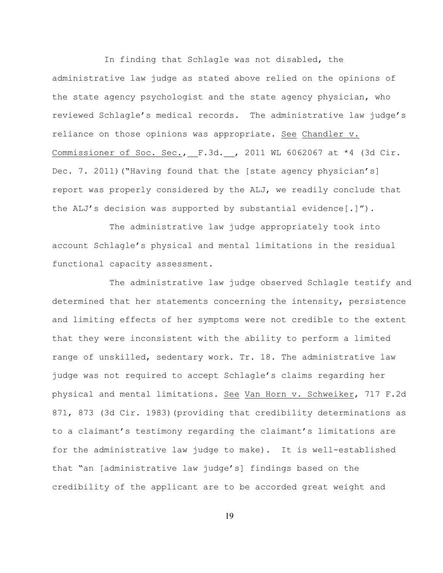In finding that Schlagle was not disabled, the administrative law judge as stated above relied on the opinions of the state agency psychologist and the state agency physician, who reviewed Schlagle's medical records. The administrative law judge's reliance on those opinions was appropriate. See Chandler v. Commissioner of Soc. Sec., F.3d. , 2011 WL 6062067 at \*4 (3d Cir. Dec. 7. 2011) ("Having found that the [state agency physician's] report was properly considered by the ALJ, we readily conclude that the ALJ's decision was supported by substantial evidence[.]").

 The administrative law judge appropriately took into account Schlagle's physical and mental limitations in the residual functional capacity assessment.

 The administrative law judge observed Schlagle testify and determined that her statements concerning the intensity, persistence and limiting effects of her symptoms were not credible to the extent that they were inconsistent with the ability to perform a limited range of unskilled, sedentary work. Tr. 18. The administrative law judge was not required to accept Schlagle's claims regarding her physical and mental limitations. See Van Horn v. Schweiker, 717 F.2d 871, 873 (3d Cir. 1983)(providing that credibility determinations as to a claimant's testimony regarding the claimant's limitations are for the administrative law judge to make). It is well-established that "an [administrative law judge's] findings based on the credibility of the applicant are to be accorded great weight and